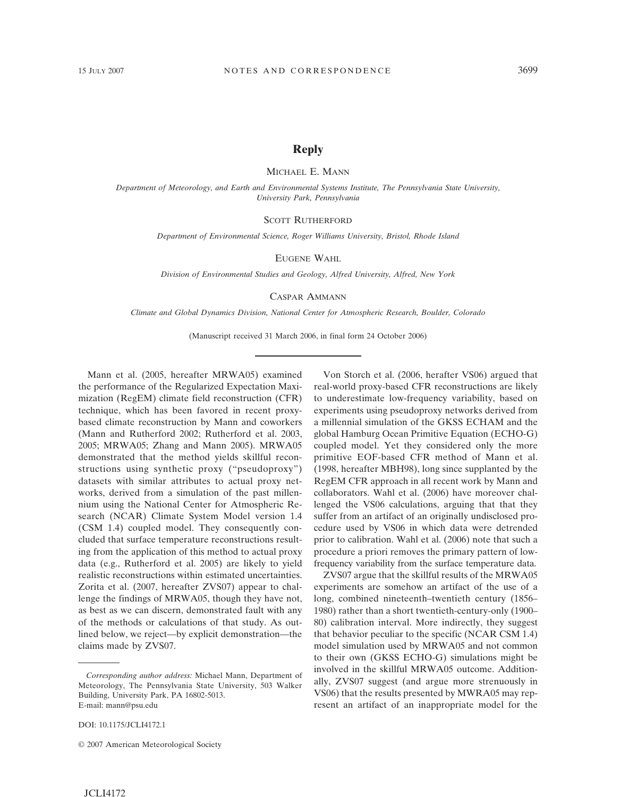## **Reply**

MICHAEL E. MANN

*Department of Meteorology, and Earth and Environmental Systems Institute, The Pennsylvania State University, University Park, Pennsylvania*

SCOTT RUTHERFORD

*Department of Environmental Science, Roger Williams University, Bristol, Rhode Island*

EUGENE WAHL

*Division of Environmental Studies and Geology, Alfred University, Alfred, New York*

CASPAR AMMANN

*Climate and Global Dynamics Division, National Center for Atmospheric Research, Boulder, Colorado*

(Manuscript received 31 March 2006, in final form 24 October 2006)

Mann et al. (2005, hereafter MRWA05) examined the performance of the Regularized Expectation Maximization (RegEM) climate field reconstruction (CFR) technique, which has been favored in recent proxybased climate reconstruction by Mann and coworkers (Mann and Rutherford 2002; Rutherford et al. 2003, 2005; MRWA05; Zhang and Mann 2005). MRWA05 demonstrated that the method yields skillful reconstructions using synthetic proxy ("pseudoproxy") datasets with similar attributes to actual proxy networks, derived from a simulation of the past millennium using the National Center for Atmospheric Research (NCAR) Climate System Model version 1.4 (CSM 1.4) coupled model. They consequently concluded that surface temperature reconstructions resulting from the application of this method to actual proxy data (e.g., Rutherford et al. 2005) are likely to yield realistic reconstructions within estimated uncertainties. Zorita et al. (2007, hereafter ZVS07) appear to challenge the findings of MRWA05, though they have not, as best as we can discern, demonstrated fault with any of the methods or calculations of that study. As outlined below, we reject—by explicit demonstration—the claims made by ZVS07.

DOI: 10.1175/JCLI4172.1

Von Storch et al. (2006, herafter VS06) argued that real-world proxy-based CFR reconstructions are likely to underestimate low-frequency variability, based on experiments using pseudoproxy networks derived from a millennial simulation of the GKSS ECHAM and the global Hamburg Ocean Primitive Equation (ECHO-G) coupled model. Yet they considered only the more primitive EOF-based CFR method of Mann et al. (1998, hereafter MBH98), long since supplanted by the RegEM CFR approach in all recent work by Mann and collaborators. Wahl et al. (2006) have moreover challenged the VS06 calculations, arguing that that they suffer from an artifact of an originally undisclosed procedure used by VS06 in which data were detrended prior to calibration. Wahl et al. (2006) note that such a procedure a priori removes the primary pattern of lowfrequency variability from the surface temperature data.

ZVS07 argue that the skillful results of the MRWA05 experiments are somehow an artifact of the use of a long, combined nineteenth–twentieth century (1856– 1980) rather than a short twentieth-century-only (1900– 80) calibration interval. More indirectly, they suggest that behavior peculiar to the specific (NCAR CSM 1.4) model simulation used by MRWA05 and not common to their own (GKSS ECHO-G) simulations might be involved in the skillful MRWA05 outcome. Additionally, ZVS07 suggest (and argue more strenuously in VS06) that the results presented by MWRA05 may represent an artifact of an inappropriate model for the

*Corresponding author address:* Michael Mann, Department of Meteorology, The Pennsylvania State University, 503 Walker Building, University Park, PA 16802-5013. E-mail: mann@psu.edu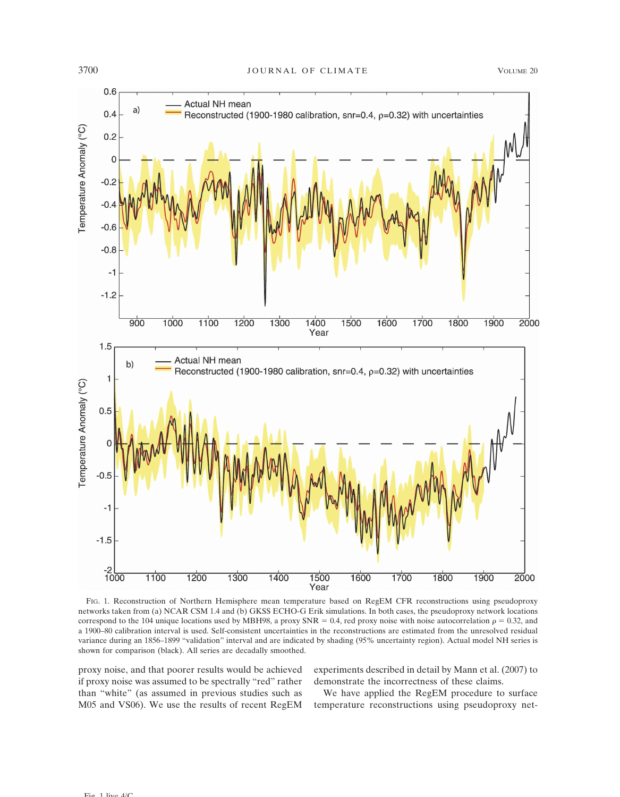

FIG. 1. Reconstruction of Northern Hemisphere mean temperature based on RegEM CFR reconstructions using pseudoproxy networks taken from (a) NCAR CSM 1.4 and (b) GKSS ECHO-G Erik simulations. In both cases, the pseudoproxy network locations correspond to the 104 unique locations used by MBH98, a proxy SNR = 0.4, red proxy noise with noise autocorrelation  $\rho = 0.32$ , and a 1900–80 calibration interval is used. Self-consistent uncertainties in the reconstructions are estimated from the unresolved residual variance during an 1856–1899 "validation" interval and are indicated by shading (95% uncertainty region). Actual model NH series is shown for comparison (black). All series are decadally smoothed.

proxy noise, and that poorer results would be achieved if proxy noise was assumed to be spectrally "red" rather than "white" (as assumed in previous studies such as M05 and VS06). We use the results of recent RegEM experiments described in detail by Mann et al. (2007) to demonstrate the incorrectness of these claims.

We have applied the RegEM procedure to surface temperature reconstructions using pseudoproxy net-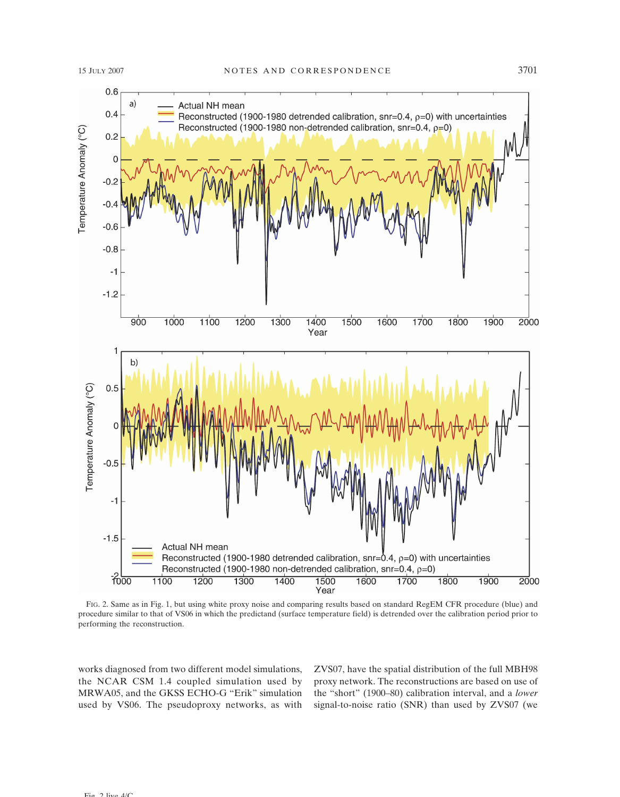

FIG. 2. Same as in Fig. 1, but using white proxy noise and comparing results based on standard RegEM CFR procedure (blue) and procedure similar to that of VS06 in which the predictand (surface temperature field) is detrended over the calibration period prior to performing the reconstruction.

works diagnosed from two different model simulations, the NCAR CSM 1.4 coupled simulation used by MRWA05, and the GKSS ECHO-G "Erik" simulation used by VS06. The pseudoproxy networks, as with

ZVS07, have the spatial distribution of the full MBH98 proxy network. The reconstructions are based on use of the "short" (1900–80) calibration interval, and a *lower* signal-to-noise ratio (SNR) than used by ZVS07 (we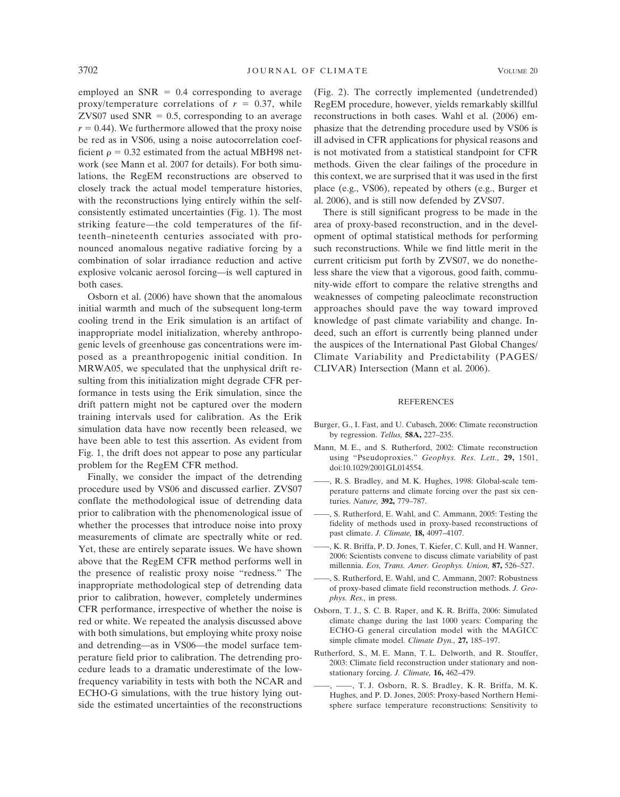employed an  $SNR = 0.4$  corresponding to average proxy/temperature correlations of  $r = 0.37$ , while ZVS07 used  $SNR = 0.5$ , corresponding to an average  $r = 0.44$ ). We furthermore allowed that the proxy noise be red as in VS06, using a noise autocorrelation coefficient  $\rho = 0.32$  estimated from the actual MBH98 network (see Mann et al. 2007 for details). For both simulations, the RegEM reconstructions are observed to closely track the actual model temperature histories, with the reconstructions lying entirely within the selfconsistently estimated uncertainties (Fig. 1). The most striking feature—the cold temperatures of the fifteenth–nineteenth centuries associated with pronounced anomalous negative radiative forcing by a combination of solar irradiance reduction and active explosive volcanic aerosol forcing—is well captured in both cases.

Osborn et al. (2006) have shown that the anomalous initial warmth and much of the subsequent long-term cooling trend in the Erik simulation is an artifact of inappropriate model initialization, whereby anthropogenic levels of greenhouse gas concentrations were imposed as a preanthropogenic initial condition. In MRWA05, we speculated that the unphysical drift resulting from this initialization might degrade CFR performance in tests using the Erik simulation, since the drift pattern might not be captured over the modern training intervals used for calibration. As the Erik simulation data have now recently been released, we have been able to test this assertion. As evident from Fig. 1, the drift does not appear to pose any particular problem for the RegEM CFR method.

Finally, we consider the impact of the detrending procedure used by VS06 and discussed earlier. ZVS07 conflate the methodological issue of detrending data prior to calibration with the phenomenological issue of whether the processes that introduce noise into proxy measurements of climate are spectrally white or red. Yet, these are entirely separate issues. We have shown above that the RegEM CFR method performs well in the presence of realistic proxy noise "redness." The inappropriate methodological step of detrending data prior to calibration, however, completely undermines CFR performance, irrespective of whether the noise is red or white. We repeated the analysis discussed above with both simulations, but employing white proxy noise and detrending—as in VS06—the model surface temperature field prior to calibration. The detrending procedure leads to a dramatic underestimate of the lowfrequency variability in tests with both the NCAR and ECHO-G simulations, with the true history lying outside the estimated uncertainties of the reconstructions (Fig. 2). The correctly implemented (undetrended) RegEM procedure, however, yields remarkably skillful reconstructions in both cases. Wahl et al. (2006) emphasize that the detrending procedure used by VS06 is ill advised in CFR applications for physical reasons and is not motivated from a statistical standpoint for CFR methods. Given the clear failings of the procedure in this context, we are surprised that it was used in the first place (e.g., VS06), repeated by others (e.g., Burger et al. 2006), and is still now defended by ZVS07.

There is still significant progress to be made in the area of proxy-based reconstruction, and in the development of optimal statistical methods for performing such reconstructions. While we find little merit in the current criticism put forth by ZVS07, we do nonetheless share the view that a vigorous, good faith, community-wide effort to compare the relative strengths and weaknesses of competing paleoclimate reconstruction approaches should pave the way toward improved knowledge of past climate variability and change. Indeed, such an effort is currently being planned under the auspices of the International Past Global Changes/ Climate Variability and Predictability (PAGES/ CLIVAR) Intersection (Mann et al. 2006).

## **REFERENCES**

- Burger, G., I. Fast, and U. Cubasch, 2006: Climate reconstruction by regression. *Tellus,* **58A,** 227–235.
- Mann, M. E., and S. Rutherford, 2002: Climate reconstruction using "Pseudoproxies." *Geophys. Res. Lett.,* **29,** 1501, doi:10.1029/2001GL014554.
- ——, R. S. Bradley, and M. K. Hughes, 1998: Global-scale temperature patterns and climate forcing over the past six centuries. *Nature,* **392,** 779–787.
- ——, S. Rutherford, E. Wahl, and C. Ammann, 2005: Testing the fidelity of methods used in proxy-based reconstructions of past climate. *J. Climate,* **18,** 4097–4107.
- ——, K. R. Briffa, P. D. Jones, T. Kiefer, C. Kull, and H. Wanner, 2006: Scientists convene to discuss climate variability of past millennia. *Eos, Trans. Amer. Geophys. Union,* **87,** 526–527.
- ——, S. Rutherford, E. Wahl, and C. Ammann, 2007: Robustness of proxy-based climate field reconstruction methods. *J. Geophys. Res.,* in press.
- Osborn, T. J., S. C. B. Raper, and K. R. Briffa, 2006: Simulated climate change during the last 1000 years: Comparing the ECHO-G general circulation model with the MAGICC simple climate model. *Climate Dyn.,* **27,** 185–197.
- Rutherford, S., M. E. Mann, T. L. Delworth, and R. Stouffer, 2003: Climate field reconstruction under stationary and nonstationary forcing. *J. Climate,* **16,** 462–479.
- ——, ——, T. J. Osborn, R. S. Bradley, K. R. Briffa, M. K. Hughes, and P. D. Jones, 2005: Proxy-based Northern Hemisphere surface temperature reconstructions: Sensitivity to